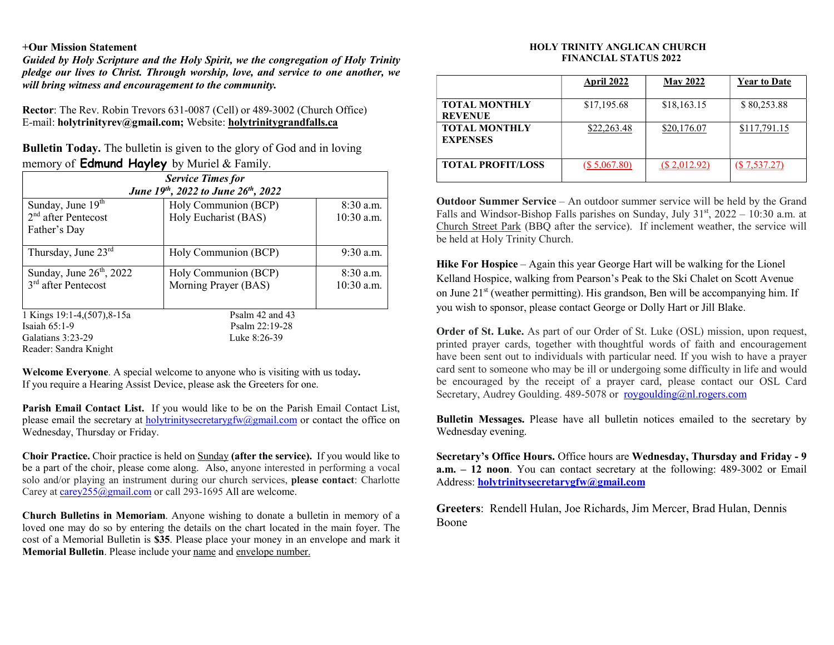## +Our Mission Statement

Guided by Holy Scripture and the Holy Spirit, we the congregation of Holy Trinity pledge our lives to Christ. Through worship, love, and service to one another, we will bring witness and encouragement to the community.

Rector: The Rev. Robin Trevors 631-0087 (Cell) or 489-3002 (Church Office) E-mail: holytrinityrev@gmail.com; Website: holytrinitygrandfalls.ca

Bulletin Today. The bulletin is given to the glory of God and in loving memory of **Edmund Hayley** by Muriel  $\&$  Family.

| <b>Service Times for</b>           |                      |              |  |  |
|------------------------------------|----------------------|--------------|--|--|
| June 19th, 2022 to June 26th, 2022 |                      |              |  |  |
| Sunday, June $19th$                | Holy Communion (BCP) | $8:30$ a.m.  |  |  |
| $2nd$ after Pentecost              | Holy Eucharist (BAS) | $10:30$ a.m. |  |  |
| Father's Day                       |                      |              |  |  |
| Thursday, June 23rd                | Holy Communion (BCP) | $9:30$ a.m.  |  |  |
| Sunday, June $26th$ , 2022         | Holy Communion (BCP) | $8:30$ a.m.  |  |  |
| $3rd$ after Pentecost              | Morning Prayer (BAS) | $10:30$ a.m. |  |  |
|                                    |                      |              |  |  |
| 1 Kings 19:1-4, (507), 8-15a       | Psalm 42 and 43      |              |  |  |
| Isaiah $65:1-9$                    | Psalm 22:19-28       |              |  |  |
| Galatians 3:23-29                  | Luke 8:26-39         |              |  |  |
| Reader: Sandra Knight              |                      |              |  |  |

Welcome Everyone. A special welcome to anyone who is visiting with us today. If you require a Hearing Assist Device, please ask the Greeters for one.

Parish Email Contact List. If you would like to be on the Parish Email Contact List, please email the secretary at holytrinitysecretarygfw@gmail.com or contact the office on Wednesday, Thursday or Friday.

Choir Practice. Choir practice is held on Sunday (after the service). If you would like to be a part of the choir, please come along. Also, anyone interested in performing a vocal solo and/or playing an instrument during our church services, please contact: Charlotte Carey at carey255@gmail.com or call 293-1695 All are welcome.

Church Bulletins in Memoriam. Anyone wishing to donate a bulletin in memory of a loved one may do so by entering the details on the chart located in the main foyer. The cost of a Memorial Bulletin is \$35. Please place your money in an envelope and mark it Memorial Bulletin. Please include your name and envelope number.

## HOLY TRINITY ANGLICAN CHURCH FINANCIAL STATUS 2022

|                                         | April 2022    | <b>May 2022</b> | <b>Year to Date</b> |
|-----------------------------------------|---------------|-----------------|---------------------|
| <b>TOTAL MONTHLY</b><br><b>REVENUE</b>  | \$17,195.68   | \$18,163.15     | \$80,253.88         |
| <b>TOTAL MONTHLY</b><br><b>EXPENSES</b> | \$22,263.48   | \$20,176.07     | \$117,791.15        |
| <b>TOTAL PROFIT/LOSS</b>                | (S, 5,067.80) | (S, 2, 012.92)  | $(\$7,537.27)$      |

Outdoor Summer Service – An outdoor summer service will be held by the Grand Falls and Windsor-Bishop Falls parishes on Sunday, July  $31<sup>st</sup>$ , 2022 – 10:30 a.m. at Church Street Park (BBQ after the service). If inclement weather, the service will be held at Holy Trinity Church.

Hike For Hospice – Again this year George Hart will be walking for the Lionel Kelland Hospice, walking from Pearson's Peak to the Ski Chalet on Scott Avenue on June  $21<sup>st</sup>$  (weather permitting). His grandson, Ben will be accompanying him. If you wish to sponsor, please contact George or Dolly Hart or Jill Blake.

Order of St. Luke. As part of our Order of St. Luke (OSL) mission, upon request, printed prayer cards, together with thoughtful words of faith and encouragement have been sent out to individuals with particular need. If you wish to have a prayer card sent to someone who may be ill or undergoing some difficulty in life and would be encouraged by the receipt of a prayer card, please contact our OSL Card Secretary, Audrey Goulding. 489-5078 or roygoulding@nl.rogers.com

Bulletin Messages. Please have all bulletin notices emailed to the secretary by Wednesday evening.

Secretary's Office Hours. Office hours are Wednesday, Thursday and Friday - 9 a.m. – 12 noon. You can contact secretary at the following: 489-3002 or Email Address: holytrinitysecretarygfw@gmail.com

Greeters: Rendell Hulan, Joe Richards, Jim Mercer, Brad Hulan, Dennis Boone